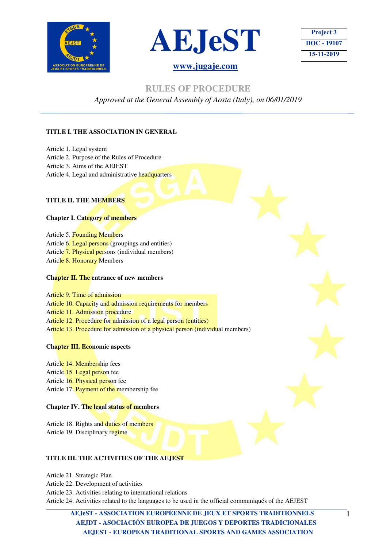



| <b>Project 3</b> |
|------------------|
| DOC - 19107      |
| 15-11-2019       |

 **RULES OF PROCEDURE** 

*Approved at the General Assembly of Aosta (Italy), on 06/01/2019* 

### **TITLE I. THE ASSOCIATION IN GENERAL**

Article 1. Legal system Article 2. Purpose of the Rules of Procedure Article 3. Aims of the AEJEST Article 4. Legal and administrative headquarters

### **TITLE II. THE MEMBERS**

### **Chapter I. Category of members**

Article 5. Founding Members Article 6. Legal persons (groupings and entities) Article 7. Physical persons (individual members) Article 8. Honorary Members

### **Chapter II. The entrance of new members**

Article 9. Time of admission Article 10. Capacity and admission requirements for members Article 11. Admission procedure Article 12. Procedure for admission of a legal person (entities) Article 13. Procedure for admission of a physical person (individual members)

### **Chapter III. Economic aspects**

Article 14. Membership fees Article 15. Legal person fee Article 16. Physical person fee Article 17. Payment of the membership fee

### **Chapter IV. The legal status of members**

Article 18. Rights and duties of members Article 19. Disciplinary regime

### **TITLE III. THE ACTIVITIES OF THE AEJEST**

Article 21. Strategic Plan

- Article 22. Development of activities
- Article 23. Activities relating to international relations

Article 24. Activities related to the languages to be used in the official communiqués of the AEJEST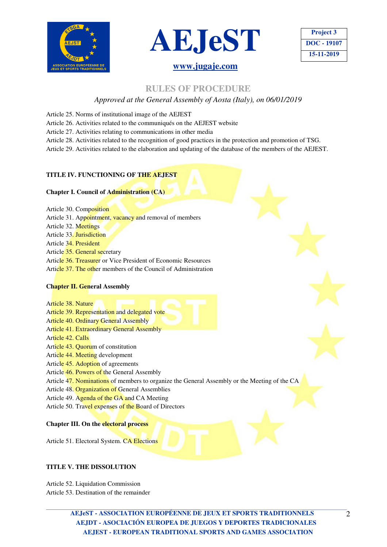



## **Project 3 DOC - 19107 15-11-2019**

### **RULES OF PROCEDURE**

### *Approved at the General Assembly of Aosta (Italy), on 06/01/2019*

- Article 25. Norms of institutional image of the AEJEST
- Article 26. Activities related to the communiqués on the AEJEST website
- Article 27. Activities relating to communications in other media
- Article 28. Activities related to the recognition of good practices in the protection and promotion of TSG.

Article 29. Activities related to the elaboration and updating of the database of the members of the AEJEST.

### **TITLE IV. FUNCTIONING OF THE AEJEST**

### **Chapter I. Council of Administration (CA)**

- Article 30. Composition
- Article 31. Appointment, vacancy and removal of members
- Article 32. Meetings
- Article 33. Jurisdiction
- Article 34. President
- Article 35. General secretary
- Article 36. Treasurer or Vice President of Economic Resources
- Article 37. The other members of the Council of Administration

### **Chapter II. General Assembly**

Article 38. Nature

- Article 39. Representation and delegated vote
- Article 40. Ordinary General Assembly
- Article 41. Extraordinary General Assembly
- Article 42. Calls
- Article 43. Quorum of constitution
- Article 44. Meeting development
- Article 45. Adoption of agreements
- Article 46. Powers of the General Assembly
- Article 47. Nominations of members to organize the General Assembly or the Meeting of the CA
- Article 48. Organization of General Assemblies
- Article 49. Agenda of the GA and CA Meeting
- Article 50. Travel expenses of the Board of Directors

**Chapter III. On the electoral process**

Article 51. Electoral System. CA Elections

### **TITLE V. THE DISSOLUTION**

Article 52. Liquidation Commission Article 53. Destination of the remainder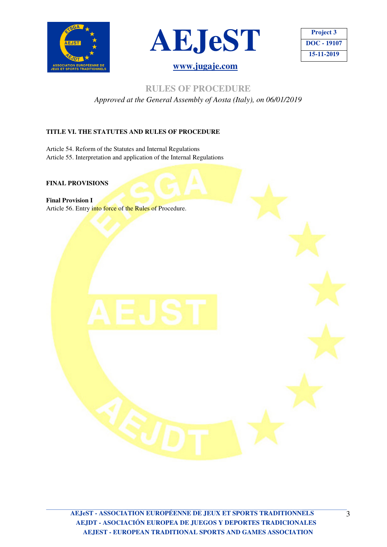





### **RULES OF PROCEDURE**

*Approved at the General Assembly of Aosta (Italy), on 06/01/2019* 

### **TITLE VI. THE STATUTES AND RULES OF PROCEDURE**

Article 54. Reform of the Statutes and Internal Regulations Article 55. Interpretation and application of the Internal Regulations

### **FINAL PROVISIONS**

**Final Provision I**  Article 56. Entry into force of the Rules of Procedure.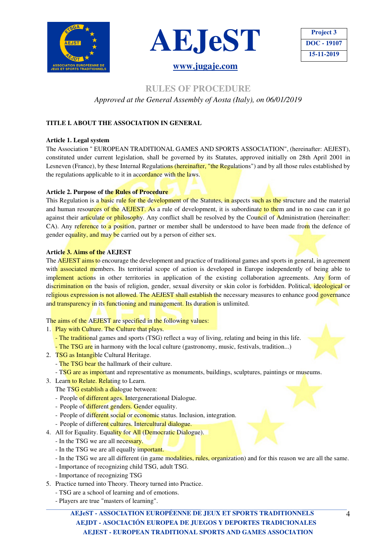



| <b>Project 3</b> |
|------------------|
| DOC - 19107      |
| 15-11-2019       |

### **RULES OF PROCEDURE**  *Approved at the General Assembly of Aosta (Italy), on 06/01/2019*

### **TITLE I. ABOUT THE ASSOCIATION IN GENERAL**

### **Article 1. Legal system**

The Association " EUROPEAN TRADITIONAL GAMES AND SPORTS ASSOCIATION", (hereinafter: AEJEST), constituted under current legislation, shall be governed by its Statutes, approved initially on 28th April 2001 in Lesneven (France), by these Internal Regulations (hereinafter, "the Regulations") and by all those rules established by the regulations applicable to it in accordance with the laws.

### **Article 2. Purpose of the Rules of Procedure**

This Regulation is a basic rule for the development of the Statutes, in aspects such as the structure and the material and human resources of the AEJEST. As a rule of development, it is subordinate to them and in no case can it go against their articulate or philosophy. Any conflict shall be resolved by the Council of Administration (hereinafter: CA). Any reference to a position, partner or member shall be understood to have been made from the defence of gender equality, and may be carried out by a person of either sex.

### **Article 3. Aims of the AEJEST**

The AEJEST aims to encourage the development and practice of traditional games and sports in general, in agreement with associated members. Its territorial scope of action is developed in Europe independently of being able to implement actions in other territories in application of the existing collaboration agreements. Any form of discrimination on the basis of religion, gender, sexual diversity or skin color is forbidden. Political, ideological or religious expression is not allowed. The AEJEST shall establish the necessary measures to enhance good governance and transparency in its functioning and management. Its duration is unlimited.

The aims of the AEJEST are specified in the following values:

- 1. Play with Culture. The Culture that plays.
	- The traditional games and sports (TSG) reflect a way of living, relating and being in this life.
	- The TSG are in harmony with the local culture (gastronomy, music, festivals, tradition...)
- 2. TSG as Intangible Cultural Heritage.
	- The TSG bear the hallmark of their culture.
	- TSG are as important and representative as monuments, buildings, sculptures, paintings or museums.
- 3. Learn to Relate. Relating to Learn.
	- The TSG establish a dialogue between:
	- People of different ages. Intergenerational Dialogue.
	- People of different genders. Gender equality.
	- People of different social or economic status. Inclusion, integration.
	- People of different cultures. Intercultural dialogue.
- 4. All for Equality. Equality for All (Democratic Dialogue).
	- In the TSG we are all necessary.
	- In the TSG we are all equally important.
	- In the TSG we are all different (in game modalities, rules, organization) and for this reason we are all the same.
	- Importance of recognizing child TSG, adult TSG.
	- Importance of recognizing TSG
- 5. Practice turned into Theory. Theory turned into Practice.
	- TSG are a school of learning and of emotions.
	- Players are true "masters of learning".

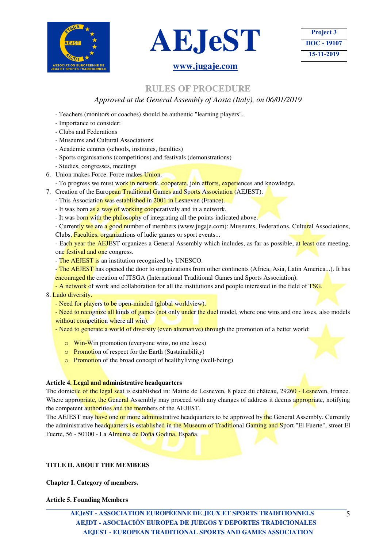



**Project 3 DOC - 19107 15-11-2019** 

### **www.jugaje.com**

### **RULES OF PROCEDURE**

### *Approved at the General Assembly of Aosta (Italy), on 06/01/2019*

- Teachers (monitors or coaches) should be authentic "learning players".
- Importance to consider:
- Clubs and Federations
- Museums and Cultural Associations
- Academic centres (schools, institutes, faculties)
- Sports organisations (competitions) and festivals (demonstrations)
- Studies, congresses, meetings
- 6. Union makes Force. Force makes Union.
- To progress we must work in network, cooperate, join efforts, experiences and knowledge.
- 7. Creation of the European Traditional Games and Sports Association (AEJEST).
	- This Association was established in 2001 in Lesneven (France).
	- It was born as a way of working cooperatively and in a network.
	- It was born with the philosophy of integrating all the points indicated above.

- Currently we are a good number of members (www.jugaje.com): Museums, Federations, Cultural Associations, Clubs, Faculties, organizations of ludic games or sport events...

- Each year the AEJEST organizes a General Assembly which includes, as far as possible, at least one meeting, one festival and one congress.

- The AEJEST is an institution recognized by UNESCO.

- The AEJEST has opened the door to organizations from other continents (Africa, Asia, Latin America...). It has encouraged the creation of ITSGA (International Traditional Games and Sports Association).

- A network of work and collaboration for all the institutions and people interested in the field of TSG.

### 8. Ludo diversity.

- Need for players to be open-minded (global worldview).
- Need to recognize all kinds of games (not only under the duel model, where one wins and one loses, also models without competition where all win).
- Need to generate a world of diversity (even alternative) through the promotion of a better world:
	- o Win-Win promotion (everyone wins, no one loses)
	- $\circ$  Promotion of respect for the Earth (Sustainability)
	- **o** Promotion of the broad concept of healthy living (well-being)

### **Article 4. Legal and administrative headquarters**

The domicile of the legal seat is established in: Mairie de Lesneven, 8 place du château, 29260 - Lesneven, France. Where appropriate, the General Assembly may proceed with any changes of address it deems appropriate, notifying the competent authorities and the members of the AEJEST.

The AEJEST may have one or more administrative headquarters to be approved by the General Assembly. Currently the administrative headquarters is established in the Museum of Traditional Gaming and Sport "El Fuerte", street El Fuerte, 56 - 50100 - La Almunia de Doña Godina, España.

### **TITLE II. ABOUT THE MEMBERS**

**Chapter I. Category of members.** 

**Article 5. Founding Members**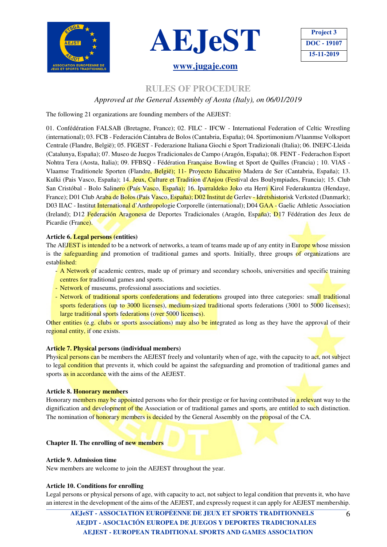





### **RULES OF PROCEDURE**

### *Approved at the General Assembly of Aosta (Italy), on 06/01/2019*

The following 21 organizations are founding members of the AEJEST:

01. Confédération FALSAB (Bretagne, France); 02. FILC - IFCW - International Federation of Celtic Wrestling (international); 03. FCB - Federación Cántabra de Bolos (Cantabria, España); 04. Sportimonium /Vlaanmse Volksport Centrale (Flandre, België); 05. FIGEST - Federazione Italiana Giochi e Sport Tradizionali (Italia); 06. INEFC-Lleida (Catalunya, España); 07. Museo de Juegos Tradicionales de Campo (Aragón, España); 08. FENT - Federachon Esport Nohtra Tera (Aosta, Italia); 09. FFBSQ - Fédération Française Bowling et Sport de Quilles (Francia) ; 10. VlAS - Vlaamse Traditionele Sporten (Flandre, België); 11- Proyecto Educativo Madera de Ser (Cantabria, España); 13. Kulki (Pais Vasco, España); 14. Jeux, Culture et Tradition d'Anjou (Festival des Boulympiades, Francia); 15. Club San Cristóbal - Bolo Salinero (País Vasco, España); 16. Iparraldeko Joko eta Herri Kirol Federakuntza (Hendaye, France); D01 Club Araba de Bolos (País Vasco, España); D02 Institut de Gerlev - Idretshistorisk Verksted (Danmark); D03 IIAC - Institut *International d'Anthropologie Corporelle* (international); D04 GAA - Gaelic Athletic Association (Ireland); D12 Federación Aragonesa de Deportes Tradicionales (Aragón, España); D17 Fédération des Jeux de Picardie (France).

### **Article 6. Legal persons (entities)**

The AEJEST is intended to be a network of networks, a team of teams made up of any entity in Europe whose mission is the safeguarding and promotion of traditional games and sports. Initially, three groups of organizations are established:

- A Network of academic centres, made up of primary and secondary schools, universities and specific training centres for traditional games and sports.
- Network of museums, professional associations and societies.
- Network of traditional sports confederations and federations grouped into three categories: small traditional sports federations (up to 3000 licenses), medium-sized traditional sports federations (3001 to 5000 licenses); large traditional sports federations (over 5000 licenses).

Other entities (e.g. clubs or sports associations) may also be integrated as long as they have the approval of their regional entity, if one exists.

### **Article 7. Physical persons (individual members)**

Physical persons can be members the AEJEST freely and voluntarily when of age, with the capacity to act, not subject to legal condition that prevents it, which could be against the safeguarding and promotion of traditional games and sports as in accordance with the aims of the AEJEST.

### **Article 8. Honorary members**

Honorary members may be appointed persons who for their prestige or for having contributed in a relevant way to the dignification and development of the Association or of traditional games and sports, are entitled to such distinction. The nomination of honorary members is decided by the General Assembly on the proposal of the CA.

### **Chapter II. The enrolling of new members**

### **Article 9. Admission time**

New members are welcome to join the AEJEST throughout the year.

### **Article 10. Conditions for enrolling**

Legal persons or physical persons of age, with capacity to act, not subject to legal condition that prevents it, who have an interest in the development of the aims of the AEJEST, and expressly request it can apply for AEJEST membership.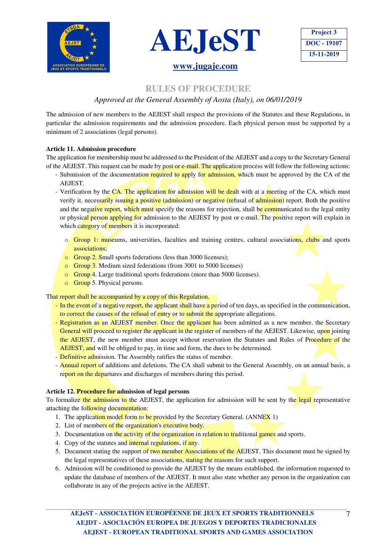





### **RULES OF PROCEDURE**

### *Approved at the General Assembly of Aosta (Italy), on 06/01/2019*

The admission of new members to the AEJEST shall respect the provisions of the Statutes and these Regulations, in particular the admission requirements and the admission procedure. Each physical person must be supported by a minimum of 2 associations (legal persons).

### **Article 11. Admission procedure**

The application for membership must be addressed to the President of the AEJEST and a copy to the Secretary General of the AEJEST. This request can be made by post or e-mail. The application process will follow the following actions:

- Submission of the documentation required to apply for admission, which must be approved by the CA of the AEJEST.
- Verification by the CA. The application for admission will be dealt with at a meeting of the CA, which must verify it, necessarily issuing a positive (admission) or negative (refusal of admission) report. Both the positive and the negative report, which must specify the reasons for rejection, shall be communicated to the legal entity or physical person applying for admission to the AEJEST by post or e-mail. The positive report will explain in which category of members it is incorporated:
	- o Group 1: museums, universities, faculties and training centres, cultural associations, clubs and sports associations;
	- o Group 2. Small sports federations (less than 3000 licenses);
	- o Group 3. Medium sized federations (from 3001 to 5000 licenses)
	- o Group 4. Large traditional sports federations (more than 5000 licenses).
	- o Group 5. Physical persons.

That report shall be accompanied by a copy of this Regulation.

- In the event of a negative report, the applicant shall have a period of ten days, as specified in the communication, to correct the causes of the refusal of entry or to submit the appropriate allegations.
- Registration as an AEJEST member. Once the applicant has been admitted as a new member, the Secretary General will proceed to register the applicant in the register of members of the AEJEST. Likewise, upon joining the AEJEST, the new member must accept without reservation the Statutes and Rules of Procedure of the AEJEST, and will be obliged to pay, in time and form, the dues to be determined.
- Definitive admission. The Assembly ratifies the status of member.
- Annual report of additions and deletions. The CA shall submit to the General Assembly, on an annual basis, a report on the departures and discharges of members during this period.

### **Article 12. Procedure for admission of legal persons**

To formalize the admission to the AEJEST, the application for admission will be sent by the legal representative attaching the following documentation:

- 1. The application model form to be provided by the Secretary General. (ANNEX 1)
- 2. List of members of the organization's executive body.
- 3. Documentation on the activity of the organization in relation to traditional games and sports.
- 4. Copy of the statutes and internal regulations, if any.
- 5. Document stating the support of two member Associations of the AEJEST. This document must be signed by the legal representatives of these associations, stating the reasons for such support.
- 6. Admission will be conditioned to provide the AEJEST by the means established, the information requested to update the database of members of the AEJEST. It must also state whether any person in the organization can collaborate in any of the projects active in the AEJEST.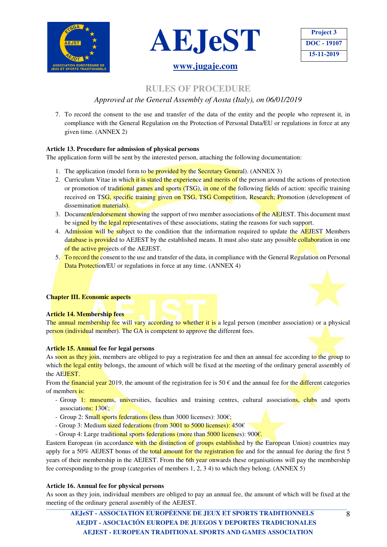





### **RULES OF PROCEDURE**

### *Approved at the General Assembly of Aosta (Italy), on 06/01/2019*

7. To record the consent to the use and transfer of the data of the entity and the people who represent it, in compliance with the General Regulation on the Protection of Personal Data/EU or regulations in force at any given time. (ANNEX 2)

### **Article 13. Procedure for admission of physical persons**

The application form will be sent by the interested person, attaching the following documentation:

- 1. The application (model form to be provided by the Secretary General). (ANNEX 3)
- 2. Curriculum Vitae in which it is stated the experience and merits of the person around the actions of protection or promotion of traditional games and sports (TSG), in one of the following fields of action: specific training received on TSG, specific training given on TSG, TSG Competition, Research; Promotion (development of dissemination materials).
- 3. Document/endorsement showing the support of two member associations of the AEJEST. This document must be signed by the legal representatives of these associations, stating the reasons for such support.
- 4. Admission will be subject to the condition that the information required to update the AEJEST Members database is provided to AEJEST by the established means. It must also state any possible collaboration in one of the active projects of the AEJEST.
- 5. To record the consent to the use and transfer of the data, in compliance with the General Regulation on Personal Data Protection/EU or regulations in force at any time. (ANNEX 4)

### **Chapter III. Economic aspects**

### **Article 14. Membership fees**

The annual membership fee will vary according to whether it is a legal person (member association) or a physical person (individual member). The GA is competent to approve the different fees.

### **Article 15. Annual fee for legal persons**

As soon as they join, members are obliged to pay a registration fee and then an annual fee according to the group to which the legal entity belongs, the amount of which will be fixed at the meeting of the ordinary general assembly of the AEJEST.

From the financial year 2019, the amount of the registration fee is  $50 \epsilon$  and the annual fee for the different categories of members is:

- Group 1: museums, universities, faculties and training centres, cultural associations, clubs and sports associations: 130€;
- Group 2: Small sports federations (less than 3000 licenses): 300€;
- Group 3: Medium sized federations (from 3001 to 5000 licenses): 450€
- Group 4: Large traditional sports federations (more than 5000 licenses): 900 $\epsilon$ .

Eastern European (in accordance with the distinction of groups established by the European Union) countries may apply for a 50% AEJEST bonus of the total amount for the registration fee and for the annual fee during the first 5 years of their membership in the AEJEST. From the 6th year onwards these organisations will pay the membership fee corresponding to the group (categories of members 1, 2, 3 4) to which they belong. (ANNEX 5)

### **Article 16. Annual fee for physical persons**

As soon as they join, individual members are obliged to pay an annual fee, the amount of which will be fixed at the meeting of the ordinary general assembly of the AEJEST.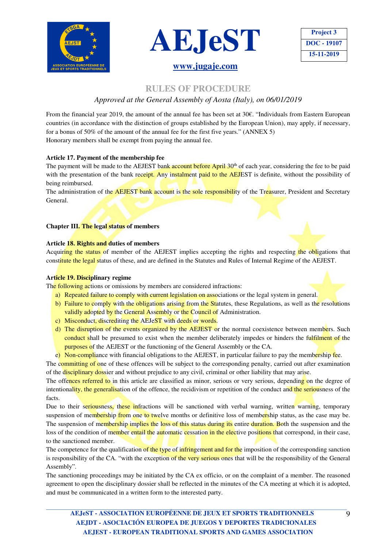





### **RULES OF PROCEDURE**

### *Approved at the General Assembly of Aosta (Italy), on 06/01/2019*

From the financial year 2019, the amount of the annual fee has been set at 30€. "Individuals from Eastern European countries (in accordance with the distinction of groups established by the European Union), may apply, if necessary, for a bonus of 50% of the amount of the annual fee for the first five years." (ANNEX 5) Honorary members shall be exempt from paying the annual fee.

### **Article 17. Payment of the membership fee**

The payment will be made to the AEJEST bank account before April  $30<sup>th</sup>$  of each year, considering the fee to be paid with the presentation of the bank receipt. Any instalment paid to the AEJEST is definite, without the possibility of being reimbursed.

The administration of the **AEJEST** bank account is the sole responsibility of the Treasurer, President and Secretary General.

### **Chapter III. The legal status of members**

### **Article 18. Rights and duties of members**

Acquiring the status of member of the AEJEST implies accepting the rights and respecting the obligations that constitute the legal status of these, and are defined in the Statutes and Rules of Internal Regime of the AEJEST.

### **Article 19. Disciplinary regime**

The following actions or omissions by members are considered infractions:

- a) Repeated failure to comply with current legislation on associations or the legal system in general.
- b) Failure to comply with the obligations arising from the Statutes, these Regulations, as well as the resolutions validly adopted by the General Assembly or the Council of Administration.
- c) Misconduct, discrediting the AEJeST with deeds or words.
- d) The disruption of the events organized by the AEJEST or the normal coexistence between members. Such conduct shall be presumed to exist when the member deliberately impedes or hinders the fulfilment of the purposes of the AEJEST or the functioning of the General Assembly or the CA.

e) Non-compliance with financial obligations to the AEJEST, in particular failure to pay the membership fee.

The committing of one of these offences will be subject to the corresponding penalty, carried out after examination of the disciplinary dossier and without prejudice to any civil, criminal or other liability that may arise.

The offences referred to in this article are classified as minor, serious or very serious, depending on the degree of intentionality, the generalisation of the offence, the recidivism or repetition of the conduct and the seriousness of the facts.

Due to their seriousness, these infractions will be sanctioned with verbal warning, written warning, temporary suspension of membership from one to twelve months or definitive loss of membership status, as the case may be. The suspension of membership implies the loss of this status during its entire duration. Both the suspension and the loss of the condition of member entail the automatic cessation in the elective positions that correspond, in their case, to the sanctioned member.

The competence for the qualification of the type of infringement and for the imposition of the corresponding sanction is responsibility of the CA. "with the exception of the very serious ones that will be the responsibility of the General Assembly".

The sanctioning proceedings may be initiated by the CA ex officio, or on the complaint of a member. The reasoned agreement to open the disciplinary dossier shall be reflected in the minutes of the CA meeting at which it is adopted, and must be communicated in a written form to the interested party.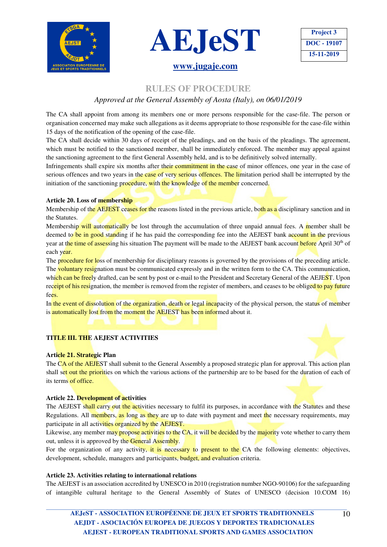





## **RULES OF PROCEDURE**

### *Approved at the General Assembly of Aosta (Italy), on 06/01/2019*

The CA shall appoint from among its members one or more persons responsible for the case-file. The person or organisation concerned may make such allegations as it deems appropriate to those responsible for the case-file within 15 days of the notification of the opening of the case-file.

The CA shall decide within 30 days of receipt of the pleadings, and on the basis of the pleadings. The agreement, which must be notified to the sanctioned member, shall be immediately enforced. The member may appeal against the sanctioning agreement to the first General Assembly held, and is to be definitively solved internally.

Infringements shall expire six months after their commitment in the case of minor offences, one year in the case of serious offences and two years in the case of very serious offences. The limitation period shall be interrupted by the initiation of the sanctioning procedure, with the knowledge of the member concerned.

### **Article 20. Loss of membership**

Membership of the AEJEST ceases for the reasons listed in the previous article, both as a disciplinary sanction and in the Statutes.

Membership will automatically be lost through the accumulation of three unpaid annual fees. A member shall be deemed to be in good standing if he has paid the corresponding fee into the AEJEST bank account in the previous year at the time of assessing his situation The payment will be made to the AEJEST bank account before April 30<sup>th</sup> of each year.

The procedure for loss of membership for disciplinary reasons is governed by the provisions of the preceding article. The voluntary resignation must be communicated expressly and in the written form to the CA. This communication, which can be freely drafted, can be sent by post or e-mail to the President and Secretary General of the AEJEST. Upon receipt of his resignation, the member is removed from the register of members, and ceases to be obliged to pay future fees.

In the event of dissolution of the organization, death or legal incapacity of the physical person, the status of member is automatically lost from the moment the AEJEST has been informed about it.

### **TITLE III. THE AEJEST ACTIVITIES**

### **Article 21. Strategic Plan**

The CA of the AEJEST shall submit to the General Assembly a proposed strategic plan for approval. This action plan shall set out the priorities on which the various actions of the partnership are to be based for the duration of each of its terms of office.

### **Article 22. Development of activities**

The AEJEST shall carry out the activities necessary to fulfil its purposes, in accordance with the Statutes and these Regulations. All members, as long as they are up to date with payment and meet the necessary requirements, may participate in all activities organized by the AEJEST.

Likewise, any member may propose activities to the CA, it will be decided by the majority vote whether to carry them out, unless it is approved by the General Assembly.

For the organization of any activity, it is necessary to present to the CA the following elements: objectives, development, schedule, managers and participants, budget, and evaluation criteria.

### **Article 23. Activities relating to international relations**

The AEJEST is an association accredited by UNESCO in 2010 (registration number NGO-90106) for the safeguarding of intangible cultural heritage to the General Assembly of States of UNESCO (decision 10.COM 16)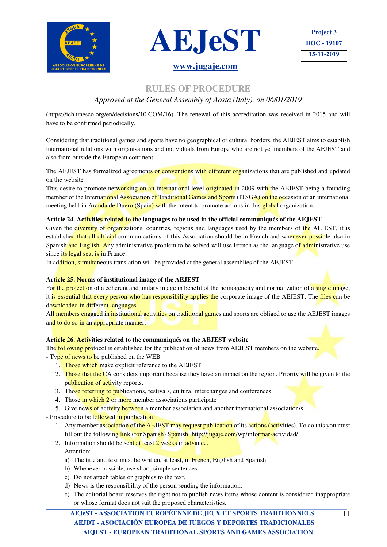



| <b>Project 3</b> |
|------------------|
| DOC - 19107      |
| 15-11-2019       |

# **RULES OF PROCEDURE**

*Approved at the General Assembly of Aosta (Italy), on 06/01/2019* 

(https://ich.unesco.org/en/decisions/10.COM/16). The renewal of this accreditation was received in 2015 and will have to be confirmed periodically.

Considering that traditional games and sports have no geographical or cultural borders, the AEJEST aims to establish international relations with organisations and individuals from Europe who are not yet members of the AEJEST and also from outside the European continent.

The AEJEST has formalized agreements or conventions with different organizations that are published and updated on the website

This desire to promote networking on an international level originated in 2009 with the AEJEST being a founding member of the International Association of Traditional Games and Sports (ITSGA) on the occasion of an international meeting held in Aranda de Duero (Spain) with the intent to promote actions in this global organization.

### **Article 24. Activities related to the languages to be used in the official communiqués of the AEJEST**

Given the diversity of organizations, countries, regions and languages used by the members of the AEJEST, it is established that all official communications of this Association should be in French and whenever possible also in Spanish and English. Any administrative problem to be solved will use French as the language of administrative use since its legal seat is in France.

In addition, simultaneous translation will be provided at the general assemblies of the AEJEST.

### **Article 25. Norms of institutional image of the AEJEST**

For the projection of a coherent and unitary image in benefit of the homogeneity and normalization of a single image, it is essential that every person who has responsibility applies the corporate image of the AEJEST. The files can be downloaded in different languages

All members engaged in institutional activities on traditional games and sports are obliged to use the AEJEST images and to do so in an appropriate manner.

### **Article 26. Activities related to the communiqués on the AEJEST website**

The **following protocol** is established for the publication of news from AEJEST members on the website.

- Type of news to be published on the WEB
	- 1. Those which make explicit reference to the AEJEST
	- 2. Those that the CA considers important because they have an impact on the region. Priority will be given to the publication of activity reports.
	- 3. Those referring to publications, festivals, cultural interchanges and conferences
	- 4. Those in which 2 or more member associations participate
	- 5. Give news of activity between a member association and another international association/s.

- Procedure to be followed in publication

- 1. Any member association of the AEJEST may request publication of its actions (activities). To do this you must fill out the following link (for Spanish) Spanish: http://jugaje.com/wp/informar-actividad/
- 2. Information should be sent at least 2 weeks in advance. Attention:
	- a) The title and text must be written, at least, in French, English and Spanish.
	- b) Whenever possible, use short, simple sentences.
	- c) Do not attach tables or graphics to the text.
	- d) News is the responsibility of the person sending the information.
	- e) The editorial board reserves the right not to publish news items whose content is considered inappropriate or whose format does not suit the proposed characteristics.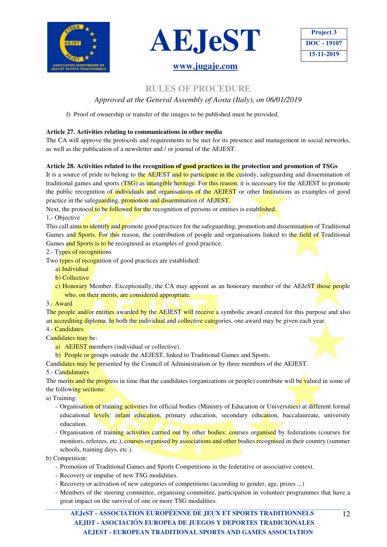



## **Project 3 DOC - 19107 15-11-2019**

### **RULES OF PROCEDURE**

### *Approved at the General Assembly of Aosta (Italy), on 06/01/2019*

f) Proof of ownership or transfer of the images to be published must be provided.

### **Article 27. Activities relating to communications in other media**

The CA will approve the protocols and requirements to be met for its presence and management in social networks, as well as the publication of a newsletter and / or journal of the AEJEST.

### **Article 28. Activities related to the recognition of good practices in the protection and promotion of TSGs**

It is a source of pride to belong to the AEJEST and to participate in the custody, safeguarding and dissemination of traditional games and sports (TSG) as intangible heritage. For this reason, it is necessary for the AEJEST to promote the public recognition of individuals and organisations of the AEJEST or other Institutions as examples of good practice in the safeguarding, promotion and dissemination of AEJEST.

Next, the protocol to be followed for the recognition of persons or entities is established. 1.- Objective

This call aims to identify and promote good practices for the safeguarding, promotion and dissemination of Traditional Games and Sports. For this reason, the contribution of people and organisations linked to the field of Traditional Games and Sports is to be recognised as examples of good practice.

2.- Types of recognitions

- Two types of recognition of good practices are established:
	- a) Individual
	- b) Collective
	- c) Honorary Member. Exceptionally, the CA may appoint as an honorary member of the AEJeST those people who, on their merits, are considered appropriate.

3.- Award

The people and/or entities awarded by the AEJEST will receive a symbolic award created for this purpose and also an accrediting diploma. In both the individual and collective categories, one award may be given each year.

4.- Candidates

- Candidates may be:
	- a) AEJEST members (individual or collective).
	- b) People or groups outside the AEJEST, linked to Traditional Games and Sports.

Candidates may be presented by the Council of Administration or by three members of the AEJEST.

### 5.- Candidatures

The merits and the progress in time that the candidates (organizations or people) contribute will be valued in some of the following sections:

### a) Training:

- Organisation of training activities for official bodies (Ministry of Education or Universities) at different formal educational levels: infant education, primary education, secondary education, baccalaureate, university education.
- Organisation of training activities carried out by other bodies: courses organised by federations (courses for monitors, referees, etc.), courses organised by associations and other bodies recognised in their country (summer schools, training days, etc.).
- b) Competition:
	- Promotion of Traditional Games and Sports Competitions in the federative or associative context.
	- Recovery or impulse of new TSG modalities.
	- Recovery or activation of new categories of competitions (according to gender, age, prizes ...)
	- Members of the steering committee, organising committee, participation in volunteer programmes that have a great impact on the survival of one or more TSG modalities.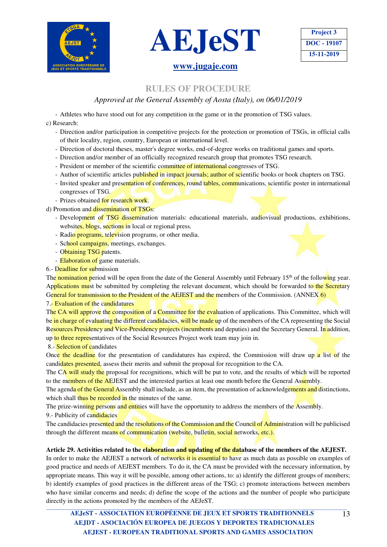





### **RULES OF PROCEDURE**

### *Approved at the General Assembly of Aosta (Italy), on 06/01/2019*

- Athletes who have stood out for any competition in the game or in the promotion of TSG values.

### c) Research:

- Direction and/or participation in competitive projects for the protection or promotion of TSGs, in official calls of their locality, region, country, European or international level.
- Direction of doctoral theses, master's degree works, end-of-degree works on traditional games and sports.
- Direction and/or member of an officially recognized research group that promotes TSG research.
- President or member of the scientific committee of international congresses of TSG.
- Author of scientific articles published in impact journals; author of scientific books or book chapters on TSG.
- Invited speaker and presentation of conferences, round tables, communications, scientific poster in international congresses of TSG.
- Prizes obtained for research work.
- d) Promotion and dissemination of TSGs:
	- Development of TSG dissemination materials: educational materials, audiovisual productions, exhibitions, websites, blogs, sections in local or regional press.
	- Radio programs, television programs, or other media.
	- School campaigns, meetings, exchanges.
	- Obtaining TSG patents.
	- Elaboration of game materials.

### 6.- Deadline for submission

The nomination period will be open from the date of the General Assembly until February 15<sup>th</sup> of the following year. Applications must be submitted by completing the relevant document, which should be forwarded to the Secretary General for transmission to the President of the AEJEST and the members of the Commission. (ANNEX 6)

### 7.- Evaluation of the candidatures

The CA will approve the composition of a Committee for the evaluation of applications. This Committee, which will be in charge of evaluating the different candidacies, will be made up of the members of the CA representing the Social Resources Presidency and Vice-Presidency projects (incumbents and deputies) and the Secretary General. In addition, up to three representatives of the Social Resources Project work team may join in.

### 8.- Selection of candidates

Once the deadline for the presentation of candidatures has expired, the Commission will draw up a list of the candidates presented, assess their merits and submit the proposal for recognition to the CA.

The CA will study the proposal for recognitions, which will be put to vote, and the results of which will be reported to the members of the AEJEST and the interested parties at least one month before the General Assembly.

The agenda of the General Assembly shall include, as an item, the presentation of acknowledgements and distinctions, which shall thus be recorded in the minutes of the same.

The prize-winning persons and entities will have the opportunity to address the members of the Assembly.

9.- Publicity of candidacies

The candidacies presented and the resolutions of the Commission and the Council of Administration will be publicised through the different means of communication (website, bulletin, social networks, etc.).

### **Article 29. Activities related to the elaboration and updating of the database of the members of the AEJEST.**

In order to make the AEJEST a network of networks it is essential to have as much data as possible on examples of good practice and needs of AEJEST members. To do it, the CA must be provided with the necessary information, by appropriate means. This way it will be possible, among other actions, to: a) identify the different groups of members; b) identify examples of good practices in the different areas of the TSG; c) promote interactions between members who have similar concerns and needs; d) define the scope of the actions and the number of people who participate directly in the actions promoted by the members of the AEJeST.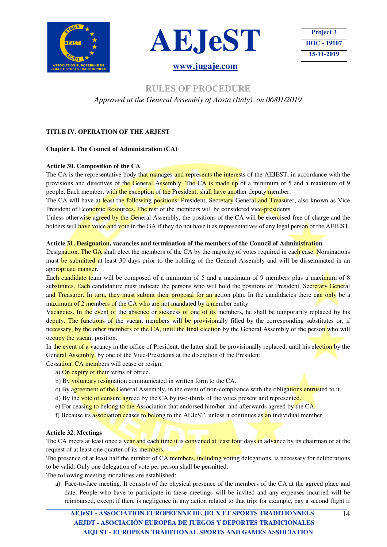



**Project 3 DOC - 19107 15-11-2019** 

### **RULES OF PROCEDURE**

*Approved at the General Assembly of Aosta (Italy), on 06/01/2019* 

### **TITLE IV. OPERATION OF THE AEJEST**

### **Chapter I. The Council of Administration (CA)**

### **Article 30. Composition of the CA**

The CA is the representative body that manages and represents the interests of the AEJEST, in accordance with the provisions and directives of the General Assembly. The CA is made up of a minimum of 5 and a maximum of 9 people. Each member, with the exception of the President, shall have another deputy member.

The CA will have at least the following positions: President, Secretary General and Treasurer, also known as Vice President of Economic Resources. The rest of the members will be considered vice-presidents

Unless otherwise agreed by the General Assembly, the positions of the CA will be exercised free of charge and the holders will have voice and vote in the GA if they do not have it as representatives of any legal person of the AEJEST.

### **Article 31. Designation, vacancies and termination of the members of the Council of Administration**

Designation. The GA shall elect the members of the CA by the majority of votes required in each case. Nominations must be submitted at least 30 days prior to the holding of the General Assembly and will be disseminated in an appropriate manner.

Each candidate team will be composed of a minimum of 5 and a maximum of 9 members plus a maximum of 8 substitutes. Each candidature must indicate the persons who will hold the positions of President, Secretary General and Treasurer. In turn, they must submit their proposal for an action plan. In the candidacies there can only be a maximum of 2 members of the CA who are not mandated by a member entity.

Vacancies. In the event of the absence or sickness of one of its members, he shall be temporarily replaced by his deputy. The functions of the vacant members will be provisionally filled by the corresponding substitutes or, if necessary, by the other members of the CA, until the final election by the General Assembly of the person who will occupy the vacant position.

In the event of a vacancy in the office of President, the latter shall be provisionally replaced, until his election by the General Assembly, by one of the Vice-Presidents at the discretion of the President.

- Cessation. CA members will cease or resign:
	- a) On expiry of their terms of office.
	- b) By voluntary resignation communicated in written form to the CA.
	- c) By agreement of the General Assembly, in the event of non-compliance with the obligations entrusted to it.
	- d) By the vote of censure agreed by the CA by two-thirds of the votes present and represented.
	- e) For ceasing to belong to the Association that endorsed him/her, and afterwards agreed by the CA.
	- f) Because its association ceases to belong to the AEJeST, unless it continues as an individual member.

### **Article 32. Meetings**

The CA meets at least once a year and each time it is convened at least four days in advance by its chairman or at the request of at least one quarter of its members.

The presence of at least half the number of CA members, including voting delegations, is necessary for deliberations to be valid. Only one delegation of vote per person shall be permitted.

The following meeting modalities are established:

a) Face-to-face meeting. It consists of the physical presence of the members of the CA at the agreed place and date. People who have to participate in these meetings will be invited and any expenses incurred will be reimbursed, except if there is negligence in any action related to that trip: for example, pay a second flight if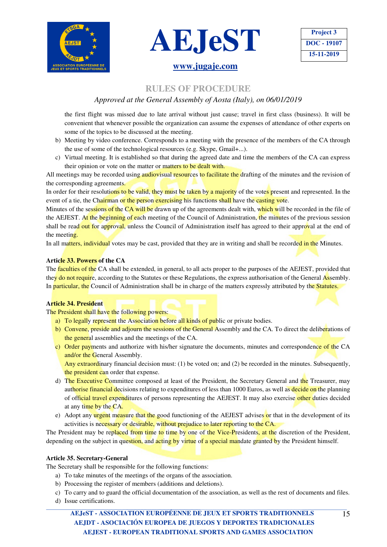





### **RULES OF PROCEDURE**

### *Approved at the General Assembly of Aosta (Italy), on 06/01/2019*

the first flight was missed due to late arrival without just cause; travel in first class (business). It will be convenient that whenever possible the organization can assume the expenses of attendance of other experts on some of the topics to be discussed at the meeting.

- b) Meeting by video conference. Corresponds to a meeting with the presence of the members of the CA through the use of some of the technological resources (e.g. Skype, Gmail+...).
- c) Virtual meeting. It is established so that during the agreed date and time the members of the CA can express their opinion or vote on the matter or matters to be dealt with.

All meetings may be recorded using audiovisual resources to facilitate the drafting of the minutes and the revision of the corresponding agreements.

In order for their resolutions to be valid, they must be taken by a majority of the votes present and represented. In the event of a tie, the Chairman or the person exercising his functions shall have the casting vote.

Minutes of the sessions of the CA will be drawn up of the agreements dealt with, which will be recorded in the file of the AEJEST. At the beginning of each meeting of the Council of Administration, the minutes of the previous session shall be read out for approval, unless the Council of Administration itself has agreed to their approval at the end of the meeting.

In all matters, individual votes may be cast, provided that they are in writing and shall be recorded in the Minutes.

### **Article 33. Powers of the CA**

The **faculties of the** CA shall be extended, in general, to all acts proper to the purposes of the AEJEST, provided that they do not require, according to the Statutes or these Regulations, the express authorisation of the General Assembly. In **particular, the Council of Administration shall be in charge of the matters expressly attributed by the Statutes.** 

### **Article 34. President**

The President shall have the following powers:

- a) To legally represent the Association before all kinds of public or private bodies.
- b) Convene, preside and adjourn the sessions of the General Assembly and the CA. To direct the deliberations of the general assemblies and the meetings of the CA.
- c) Order payments and authorize with his/her signature the documents, minutes and correspondence of the CA and/or the General Assembly.

Any extraordinary financial decision must: (1) be voted on; and (2) be recorded in the minutes. Subsequently, the president can order that expense.

- d) The Executive Committee composed at least of the President, the Secretary General and the Treasurer, may authorise financial decisions relating to expenditures of less than 1000 Euros, as well as decide on the planning of official travel expenditures of persons representing the AEJEST. It may also exercise other duties decided at any time by the CA.
- e) Adopt any urgent measure that the good functioning of the AEJEST advises or that in the development of its activities is necessary or desirable, without prejudice to later reporting to the CA.

The President may be replaced from time to time by one of the Vice-Presidents, at the discretion of the President, depending on the subject in question, and acting by virtue of a special mandate granted by the President himself.

### **Article 35. Secretary-General**

The Secretary shall be responsible for the following functions:

- a) To take minutes of the meetings of the organs of the association.
- b) Processing the register of members (additions and deletions).
- c) To carry and to guard the official documentation of the association, as well as the rest of documents and files.
- d) Issue certifications.

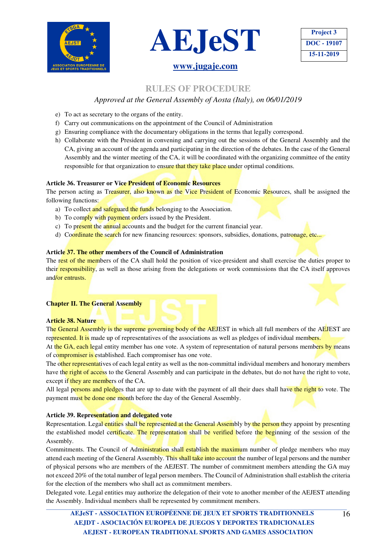





### **RULES OF PROCEDURE**

### *Approved at the General Assembly of Aosta (Italy), on 06/01/2019*

- e) To act as secretary to the organs of the entity.
- f) Carry out communications on the appointment of the Council of Administration
- g) Ensuring compliance with the documentary obligations in the terms that legally correspond.
- h) Collaborate with the President in convening and carrying out the sessions of the General Assembly and the CA, giving an account of the agenda and participating in the direction of the debates. In the case of the General Assembly and the winter meeting of the CA, it will be coordinated with the organizing committee of the entity responsible for that organization to ensure that they take place under optimal conditions.

### **Article 36. Treasurer or Vice President of Economic Resources**

The person acting as Treasurer, also known as the Vice President of Economic Resources, shall be assigned the following functions:

- a) To collect and safeguard the funds belonging to the Association.
- b) To comply with payment orders issued by the President.
- c) To present the annual accounts and the budget for the current financial year.
- d) Coordinate the search for new financing resources: sponsors, subsidies, donations, patronage, etc...

### **Article 37. The other members of the Council of Administration**

The rest of the members of the CA shall hold the position of vice-president and shall exercise the duties proper to their responsibility, as well as those arising from the delegations or work commissions that the CA itself approves and/or entrusts.

### **Chapter II. The General Assembly**

### **Article 38. Nature**

The General Assembly is the supreme governing body of the AEJEST in which all full members of the AEJEST are represented. It is made up of representatives of the associations as well as pledges of individual members.

At the GA, each legal entity member has one vote. A system of representation of natural persons members by means of compromiser is established. Each compromiser has one vote.

The other representatives of each legal entity as well as the non-committal individual members and honorary members have the right of access to the General Assembly and can participate in the debates, but do not have the right to vote, except if they are members of the CA.

All legal persons and pledges that are up to date with the payment of all their dues shall have the right to vote. The payment must be done one month before the day of the General Assembly.

### **Article 39. Representation and delegated vote**

Representation. Legal entities shall be represented at the General Assembly by the person they appoint by presenting the established model certificate. The representation shall be verified before the beginning of the session of the Assembly.

Commitments. The Council of Administration shall establish the maximum number of pledge members who may attend each meeting of the General Assembly. This shall take into account the number of legal persons and the number of physical persons who are members of the AEJEST. The number of commitment members attending the GA may not exceed 20% of the total number of legal person members. The Council of Administration shall establish the criteria for the election of the members who shall act as commitment members.

Delegated vote. Legal entities may authorize the delegation of their vote to another member of the AEJEST attending the Assembly. Individual members shall be represented by commitment members.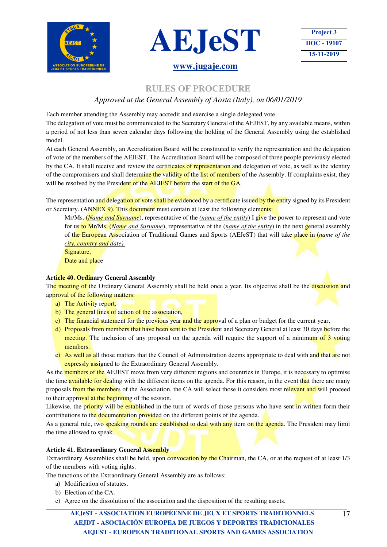

![](_page_16_Picture_1.jpeg)

![](_page_16_Picture_2.jpeg)

### **RULES OF PROCEDURE**

### *Approved at the General Assembly of Aosta (Italy), on 06/01/2019*

Each member attending the Assembly may accredit and exercise a single delegated vote.

The delegation of vote must be communicated to the Secretary General of the AEJEST, by any available means, within a period of not less than seven calendar days following the holding of the General Assembly using the established model.

At each General Assembly, an Accreditation Board will be constituted to verify the representation and the delegation of vote of the members of the AEJEST. The Accreditation Board will be composed of three people previously elected by the CA. It shall receive and review the certificates of representation and delegation of vote, as well as the identity of the compromisers and shall determine the validity of the list of members of the Assembly. If complaints exist, they will be resolved by the President of the AEJEST before the start of the GA.

The representation and delegation of vote shall be evidenced by a certificate issued by the entity signed by its President or Secretary. (ANNEX 9). This document must contain at least the following elements:

Mr/Ms. (*Name and Surname*), representative of the *(name of the entity*) I give the power to represent and vote for us to Mr/Ms. (*Name and Surname*), representative of the (*name of the entity*) in the next general assembly of the European Association of Traditional Games and Sports (AEJeST) that will take place in (*name of the city, country and date).*

Signature, Date and place

### **Article 40. Ordinary General Assembly**

The meeting of the Ordinary General Assembly shall be held once a year. Its objective shall be the discussion and approval of the following matters:

- a) The Activity report,
- b) The general lines of action of the association,
- c) The financial statement for the previous year and the approval of a plan or budget for the current year,
- d) Proposals from members that have been sent to the President and Secretary General at least 30 days before the meeting. The inclusion of any proposal on the agenda will require the support of a minimum of 3 voting members.
- e) As well as all those matters that the Council of Administration deems appropriate to deal with and that are not expressly assigned to the Extraordinary General Assembly.

As the members of the AEJEST move from very different regions and countries in Europe, it is necessary to optimise the time **available for dealing** with the different items on the agenda. For this reason, in the event that there are many proposals from the members of the Association, the CA will select those it considers most relevant and will proceed to their approval at the beginning of the session.

Likewise, the priority will be established in the turn of words of those persons who have sent in written form their contributions to the documentation provided on the different points of the agenda.

As a general rule, two speaking rounds are established to deal with any item on the agenda. The President may limit the time allowed to speak.

### **Article 41. Extraordinary General Assembly**

Extraordinary Assemblies shall be held, upon convocation by the Chairman, the CA, or at the request of at least 1/3 of the members with voting rights.

The functions of the Extraordinary General Assembly are as follows:

- a) Modification of statutes.
- b) Election of the CA.
- c) Agree on the dissolution of the association and the disposition of the resulting assets.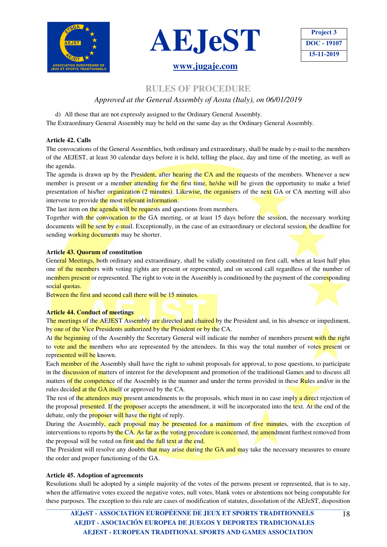![](_page_17_Picture_0.jpeg)

![](_page_17_Picture_1.jpeg)

### **RULES OF PROCEDURE**

### *Approved at the General Assembly of Aosta (Italy), on 06/01/2019*

d) All those that are not expressly assigned to the Ordinary General Assembly. The Extraordinary General Assembly may be held on the same day as the Ordinary General Assembly.

### **Article 42. Calls**

The convocations of the General Assemblies, both ordinary and extraordinary, shall be made by e-mail to the members of the AEJEST, at least 30 calendar days before it is held, telling the place, day and time of the meeting, as well as the agenda.

The agenda is drawn up by the President, after hearing the CA and the requests of the members. Whenever a new member is present or a member attending for the first time, he/she will be given the opportunity to make a brief presentation of his/her organization (2 minutes). Likewise, the organisers of the next GA or CA meeting will also intervene to provide the most relevant information.

The last item on the agenda will be requests and questions from members.

Together with the convocation to the GA meeting, or at least 15 days before the session, the necessary working documents will be sent by e-mail. Exceptionally, in the case of an extraordinary or electoral session, the deadline for sending working documents may be shorter.

### **Article 43. Quorum of constitution**

General Meetings, both ordinary and extraordinary, shall be validly constituted on first call, when at least half plus one of the members with voting rights are present or represented, and on second call regardless of the number of members present or represented. The right to vote in the Assembly is conditioned by the payment of the corresponding social quotas.

Between the first and second call there will be 15 minutes.

### **Article 44. Conduct of meetings**

The meetings of the AEJEST Assembly are directed and chaired by the President and, in his absence or impediment, by one of the Vice Presidents authorized by the President or by the CA.

At the beginning of the Assembly the Secretary General will indicate the number of members present with the right to vote and the members who are represented by the attendees. In this way the total number of votes present or represented will be known.

Each member of the Assembly shall have the right to submit proposals for approval, to pose questions, to participate in the discussion of matters of interest for the development and promotion of the traditional Games and to discuss all matters of the competence of the Assembly in the manner and under the terms provided in these Rules and/or in the rules decided at the GA itself or approved by the CA.

The rest of the attendees may present amendments to the proposals, which must in no case imply a direct rejection of the proposal presented. If the proposer accepts the amendment, it will be incorporated into the text. At the end of the debate, only the proposer will have the right of reply.

During the Assembly, each proposal may be presented for a maximum of five minutes, with the exception of interventions to reports by the CA. As far as the voting procedure is concerned, the amendment furthest removed from the proposal will be voted on first and the full text at the end.

The President will resolve any doubts that may arise during the GA and may take the necessary measures to ensure the order and proper functioning of the GA.

### **Article 45. Adoption of agreements**

Resolutions shall be adopted by a simple majority of the votes of the persons present or represented, that is to say, when the affirmative votes exceed the negative votes, null votes, blank votes or abstentions not being computable for these purposes. The exception to this rule are cases of modification of statutes, dissolution of the AEJeST, disposition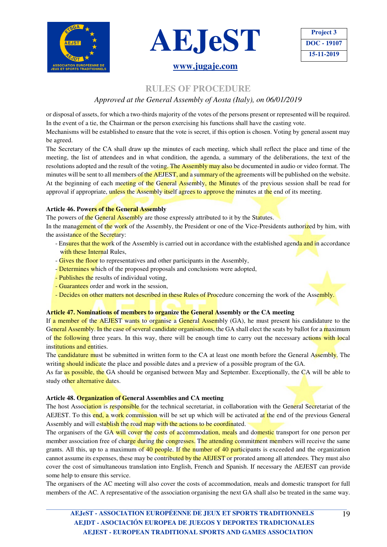![](_page_18_Picture_0.jpeg)

![](_page_18_Picture_1.jpeg)

### **RULES OF PROCEDURE**

### *Approved at the General Assembly of Aosta (Italy), on 06/01/2019*

or disposal of assets, for which a two-thirds majority of the votes of the persons present or represented will be required. In the event of a tie, the Chairman or the person exercising his functions shall have the casting vote. Mechanisms will be established to ensure that the vote is secret, if this option is chosen. Voting by general assent may

be agreed.

The Secretary of the CA shall draw up the minutes of each meeting, which shall reflect the place and time of the meeting, the list of attendees and in what condition, the agenda, a summary of the deliberations, the text of the resolutions adopted and the result of the voting. The Assembly may also be documented in audio or video format. The minutes will be sent to all members of the AEJEST, and a summary of the agreements will be published on the website. At the beginning of each meeting of the General Assembly, the Minutes of the previous session shall be read for approval if appropriate, unless the Assembly itself agrees to approve the minutes at the end of its meeting.

### **Article 46. Powers of the General Assembly**

The powers of the General Assembly are those expressly attributed to it by the Statutes.

In the management of the work of the Assembly, the President or one of the Vice-Presidents authorized by him, with the assistance of the Secretary:

- Ensures that the work of the Assembly is carried out in accordance with the established agenda and in accordance with these Internal Rules.
- Gives the floor to representatives and other participants in the Assembly.
- Determines which of the proposed proposals and conclusions were adopted,
- Publishes the results of individual voting,
- Guarantees order and work in the session,
- Decides on other matters not described in these Rules of Procedure concerning the work of the Assembly.

### **Article 47. Nominations of members to organize the General Assembly or the CA meeting**

If a member of the AEJEST wants to organise a General Assembly (GA), he must present his candidature to the General Assembly. In the case of several candidate organisations, the GA shall elect the seats by ballot for a maximum of the following three years. In this way, there will be enough time to carry out the necessary actions with local institutions and entities.

The candidature must be submitted in written form to the CA at least one month before the General Assembly. The writing should indicate the place and possible dates and a preview of a possible program of the GA.

As far as possible, the GA should be organised between May and September. Exceptionally, the CA will be able to study other alternative dates.

### **Article 48. Organization of General Assemblies and CA meeting**

The host Association is responsible for the technical secretariat, in collaboration with the General Secretariat of the AEJEST. To this end, a work commission will be set up which will be activated at the end of the previous General Assembly and will establish the road map with the actions to be coordinated.

The organisers of the GA will cover the costs of accommodation, meals and domestic transport for one person per member association free of charge during the congresses. The attending commitment members will receive the same grants. All this, up to a maximum of 40 people. If the number of 40 participants is exceeded and the organization cannot assume its expenses, these may be contributed by the AEJEST or prorated among all attendees. They must also cover the cost of simultaneous translation into English, French and Spanish. If necessary the AEJEST can provide some help to ensure this service.

The organisers of the AC meeting will also cover the costs of accommodation, meals and domestic transport for full members of the AC. A representative of the association organising the next GA shall also be treated in the same way.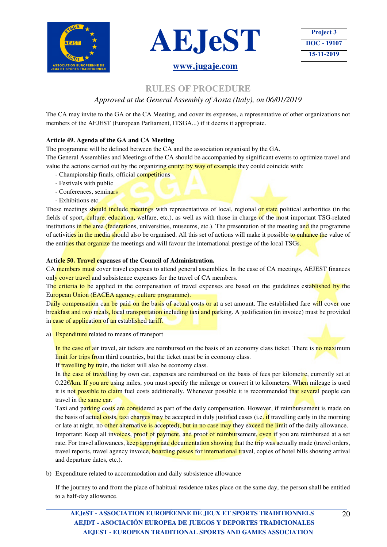![](_page_19_Picture_0.jpeg)

![](_page_19_Picture_1.jpeg)

| <b>Project 3</b> |
|------------------|
| DOC - 19107      |
| 15-11-2019       |

### **RULES OF PROCEDURE**

### *Approved at the General Assembly of Aosta (Italy), on 06/01/2019*

The CA may invite to the GA or the CA Meeting, and cover its expenses, a representative of other organizations not members of the AEJEST (European Parliament, ITSGA...) if it deems it appropriate.

### **Article 49. Agenda of the GA and CA Meeting**

The programme will be defined between the CA and the association organised by the GA.

The General Assemblies and Meetings of the CA should be accompanied by significant events to optimize travel and value the actions carried out by the organizing entity: by way of example they could coincide with:

- Championship finals, official competitions
- Festivals with public
- Conferences, seminars
- Exhibitions etc.

These meetings should include meetings with representatives of local, regional or state political authorities (in the fields of sport, culture, education, welfare, etc.), as well as with those in charge of the most important TSG-related institutions in the area (federations, universities, museums, etc.). The presentation of the meeting and the programme of activities in the media should also be organised. All this set of actions will make it possible to enhance the value of the entities that organize the meetings and will favour the international prestige of the local TSGs.

### **Article 50. Travel expenses of the Council of Administration.**

CA members must cover travel expenses to attend general assemblies. In the case of CA meetings, AEJEST finances only cover travel and subsistence expenses for the travel of CA members.

The criteria to be applied in the compensation of travel expenses are based on the guidelines established by the European Union (EACEA agency, culture programme).

Daily compensation can be paid on the basis of actual costs or at a set amount. The established fare will cover one breakfast and two meals, local transportation including taxi and parking. A justification (in invoice) must be provided in case of application of an established tariff.

a) Expenditure related to means of transport

In the case of air travel, air tickets are reimbursed on the basis of an economy class ticket. There is no maximum limit for trips from third countries, but the ticket must be in economy class.

If travelling by train, the ticket will also be economy class.

In the case of travelling by own car, expenses are reimbursed on the basis of fees per kilometre, currently set at  $0.22 \epsilon/km$ . If you are using miles, you must specify the mileage or convert it to kilometers. When mileage is used it is not possible to claim fuel costs additionally. Whenever possible it is recommended that several people can travel in the same car.

Taxi and parking costs are considered as part of the daily compensation. However, if reimbursement is made on the basis of actual costs, taxi charges may be accepted in duly justified cases (i.e. if travelling early in the morning or late at night, no other alternative is accepted), but in no case may they exceed the limit of the daily allowance.

Important: Keep all invoices, proof of payment, and proof of reimbursement, even if you are reimbursed at a set rate. For travel allowances, keep appropriate documentation showing that the trip was actually made (travel orders, travel reports, travel agency invoice, boarding passes for international travel, copies of hotel bills showing arrival and departure dates, etc.).

b) Expenditure related to accommodation and daily subsistence allowance

If the journey to and from the place of habitual residence takes place on the same day, the person shall be entitled to a half-day allowance.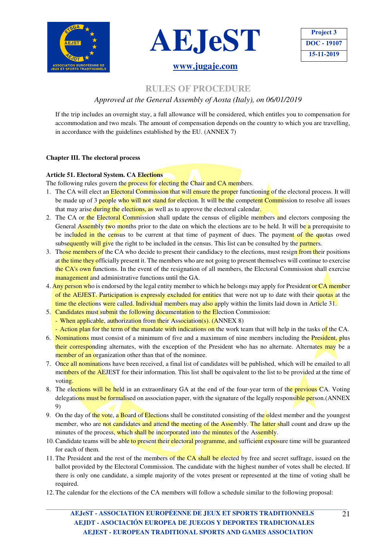![](_page_20_Picture_0.jpeg)

![](_page_20_Picture_1.jpeg)

![](_page_20_Picture_2.jpeg)

### **RULES OF PROCEDURE**

### *Approved at the General Assembly of Aosta (Italy), on 06/01/2019*

If the trip includes an overnight stay, a full allowance will be considered, which entitles you to compensation for accommodation and two meals. The amount of compensation depends on the country to which you are travelling, in accordance with the guidelines established by the EU. (ANNEX 7)

### **Chapter III. The electoral process**

### **Article 51. Electoral System. CA Elections**

The following rules govern the process for electing the Chair and CA members.

- 1. The CA will elect an Electoral Commission that will ensure the proper functioning of the electoral process. It will be made up of 3 people who will not stand for election. It will be the competent Commission to resolve all issues that may arise during the elections, as well as to approve the electoral calendar.
- 2. The CA or the Electoral Commission shall update the census of eligible members and electors composing the General **Assembly two months** prior to the date on which the elections are to be held. It will be a prerequisite to be included in the census to be current at that time of payment of dues. The payment of the quotas owed subsequently will give the right to be included in the census. This list can be consulted by the partners.
- 3. Those members of the CA who decide to present their candidacy to the elections, must resign from their positions at the time they officially present it. The members who are not going to present themselves will continue to exercise the CA's own functions. In the event of the resignation of all members, the Electoral Commission shall exercise management and administrative functions until the GA.
- 4. Any person who is endorsed by the legal entity member to which he belongs may apply for President or CA member of the AEJEST. Participation is expressly excluded for entities that were not up to date with their quotas at the time the elections were called. Individual members may also apply within the limits laid down in Article 31.
- 5. Candidates must submit the following documentation to the Election Commission:
	- When applicable, authorization from their Association(s). (ANNEX 8)
	- Action plan for the term of the mandate with indications on the work team that will help in the tasks of the CA.
- 6. Nominations must consist of a minimum of five and a maximum of nine members including the President, plus their corresponding alternates, with the exception of the President who has no alternate. Alternates may be a member of an organization other than that of the nominee.
- 7. Once all nominations have been received, a final list of candidates will be published, which will be emailed to all members of the AEJEST for their information. This list shall be equivalent to the list to be provided at the time of voting.
- 8. The elections will be held in an extraordinary GA at the end of the four-year term of the previous CA. Voting delegations must be formalised on association paper, with the signature of the legally responsible person.(ANNEX 9)
- 9. On the day of the vote, a Board of Elections shall be constituted consisting of the oldest member and the youngest member, who are not candidates and attend the meeting of the Assembly. The latter shall count and draw up the minutes of the process, which shall be incorporated into the minutes of the Assembly.
- 10. Candidate teams will be able to present their electoral programme, and sufficient exposure time will be guaranteed for each of them.
- 11. The President and the rest of the members of the CA shall be elected by free and secret suffrage, issued on the ballot provided by the Electoral Commission. The candidate with the highest number of votes shall be elected. If there is only one candidate, a simple majority of the votes present or represented at the time of voting shall be required.
- 12. The calendar for the elections of the CA members will follow a schedule similar to the following proposal: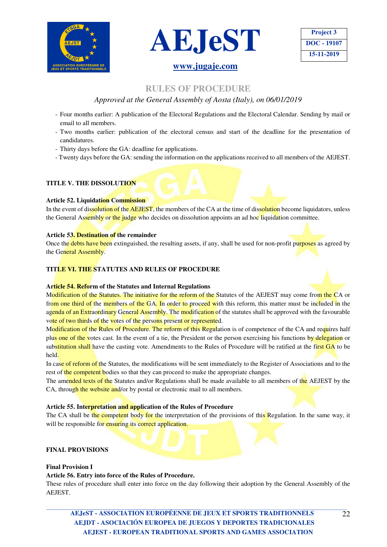![](_page_21_Picture_0.jpeg)

![](_page_21_Picture_1.jpeg)

### **RULES OF PROCEDURE**

### *Approved at the General Assembly of Aosta (Italy), on 06/01/2019*

- Four months earlier: A publication of the Electoral Regulations and the Electoral Calendar. Sending by mail or email to all members.
- Two months earlier: publication of the electoral census and start of the deadline for the presentation of candidatures.
- Thirty days before the GA: deadline for applications.
- Twenty days before the GA: sending the information on the applications received to all members of the AEJEST.

### **TITLE V. THE DISSOLUTION**

### **Article 52. Liquidation Commission**

In the event of dissolution of the AEJEST, the members of the CA at the time of dissolution become liquidators, unless the General Assembly or the judge who decides on dissolution appoints an ad hoc liquidation committee.

### **Article 53. Destination of the remainder**

Once the debts have been extinguished, the resulting assets, if any, shall be used for non-profit purposes as agreed by the General Assembly.

### **TITLE VI. THE STATUTES AND RULES OF PROCEDURE**

### **Article 54. Reform of the Statutes and Internal Regulations**

Modification of the Statutes. The initiative for the reform of the Statutes of the AEJEST may come from the CA or from one third of the members of the GA. In order to proceed with this reform, this matter must be included in the agenda of an Extraordinary General Assembly. The modification of the statutes shall be approved with the favourable vote of two thirds of the votes of the persons present or represented.

Modification of the Rules of Procedure. The reform of this Regulation is of competence of the CA and requires half plus one of the votes cast. In the event of a tie, the President or the person exercising his functions by delegation or substitution shall have the casting vote. Amendments to the Rules of Procedure will be ratified at the first GA to be held.

In case of reform of the Statutes, the modifications will be sent immediately to the Register of Associations and to the rest of the competent bodies so that they can proceed to make the appropriate changes.

The amended texts of the Statutes and/or Regulations shall be made available to all members of the AEJEST by the CA, through the website and/or by postal or electronic mail to all members.

### **Article 55. Interpretation and application of the Rules of Procedure**

The CA shall be the competent body for the interpretation of the provisions of this Regulation. In the same way, it will be responsible for ensuring its correct application.

### **FINAL PROVISIONS**

### **Final Provision I**

### **Article 56. Entry into force of the Rules of Procedure.**

These rules of procedure shall enter into force on the day following their adoption by the General Assembly of the AEJEST.